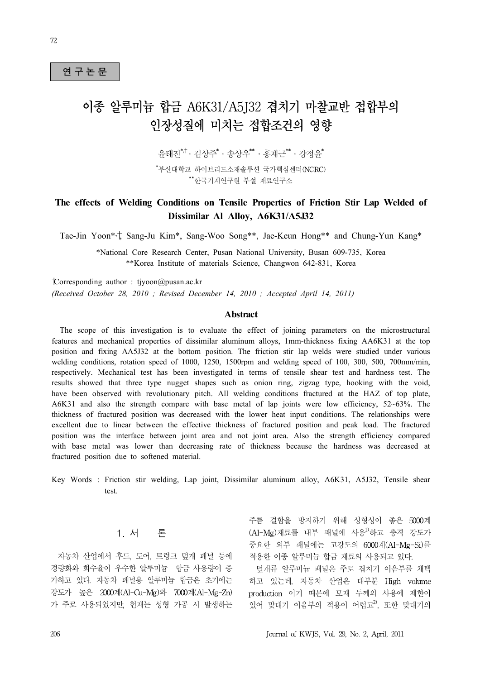# 연 구 논 문<br>연 구 논 문

# 이종 알루미늄 합금 A6K31/A5J32 겹치기 마찰교반 접합부의 인장성질에 미치는 접합조건의 영향

유태지 $*$  $\dagger$  · 김상주 $*$  · 송상우 $*^*$  · 홍재근 $*^*$  · 강정윤 $*$ \*부산대학교 하이브리드소재솔루션 국가핵심센터(NCRC) \*\*한국기계연구원 부설 재료연구소

# **The effects of Welding Conditions on Tensile Properties of Friction Stir Lap Welded of Dissimilar Al Alloy, A6K31/A5J32**

Tae-Jin Yoon\* ,†, Sang-Ju Kim\*, Sang-Woo Song\*\*, Jae-Keun Hong\*\* and Chung-Yun Kang\*

\*National Core Research Center, Pusan National University, Busan 609-735, Korea \*\*Korea Institute of materials Science, Changwon 642-831, Korea

†Corresponding author : tjyoon@pusan.ac.kr *(Received October 28, 2010 ; Revised December 14, 2010 ; Accepted April 14, 2011)*

#### **Abstract**

 The scope of this investigation is to evaluate the effect of joining parameters on the microstructural features and mechanical properties of dissimilar aluminum alloys, 1mm-thickness fixing AA6K31 at the top position and fixing AA5J32 at the bottom position. The friction stir lap welds were studied under various welding conditions, rotation speed of 1000, 1250, 1500rpm and welding speed of 100, 300, 500, 700mm/min, respectively. Mechanical test has been investigated in terms of tensile shear test and hardness test. The results showed that three type nugget shapes such as onion ring, zigzag type, hooking with the void, have been observed with revolutionary pitch. All welding conditions fractured at the HAZ of top plate, A6K31 and also the strength compare with base metal of lap joints were low efficiency, 52~63%. The thickness of fractured position was decreased with the lower heat input conditions. The relationships were excellent due to linear between the effective thickness of fractured position and peak load. The fractured position was the interface between joint area and not joint area. Also the strength efficiency compared with base metal was lower than decreasing rate of thickness because the hardness was decreased at fractured position due to softened material.

Key Words : Friction stir welding, Lap joint, Dissimilar aluminum alloy, A6K31, A5J32, Tensile shear test.

# 1. 서 론

자동차 산업에서 후드, 도어, 트렁크 덮개 패널 등에 경량화와 회수율이 우수한 알루미늄 합금 사용량이 증 가하고 있다. 자동차 패널용 알루미늄 합금은 초기에는 강도가 높은 2000계(Al-Cu-Mg)와 7000계(Al-Mg-Zn) 가 주로 사용되었지만, 현재는 성형 가공 시 발생하는

주름 결함을 방지하기 위해 성형성이 좋은 5000계 (Al-Mg)재료를 내부 패널에 사용1)하고 충격 강도가 중요한 외부 패널에는 고강도의 6000계(Al-Mg-Si)를 적용한 이종 알루미늄 합금 재료의 사용되고 있다.

덮개류 알루미늄 패널은 주로 겹치기 이음부를 채택 하고 있는데, 자동차 산업은 대부분 High volume production 이기 때문에 모재 두께의 사용에 제한이 있어 맞대기 이음부의 적용이 어렵고<sup>2)</sup>, 또한 맞대기의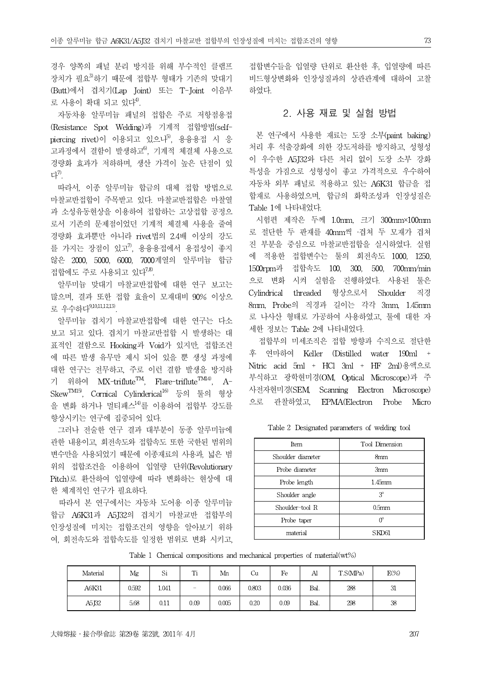경우 양쪽의 패널 분리 방지를 위해 부수적인 클램프 장치가 필요3)하기 때문에 접합부 형태가 기존의 맞대기 (Butt)에서 겹치기(Lap Joint) 또는 T-Joint 이음부 로 사용이 확대 되고 있다<sup>4)</sup>.

자동차용 알루미늄 패널의 접합은 주로 저항점용접 (Resistance Spot Welding)과 기계적 접합방법(self- $\text{b}$ iercing rivet)이 이용되고 있으나 $^{5}$ , 용융용접 시 응 고과정에서 결함이 발생하고<sup>6)</sup>, 기계적 체결체 사용으로 경량화 효과가 저하하며, 생산 가격이 높은 단점이 있 다 $^{\prime\prime}$ .

따라서, 이종 알루미늄 합금의 대체 접합 방법으로 마찰교반접합이 주목받고 있다. 마찰교반접합은 마찰열 과 소성유동현상을 이용하여 접합하는 고상접합 공정으 로서 기존의 문제점이었던 기계적 체결체 사용을 줄여 경량화 효과뿐만 아니라 rivet법의 2.4배 이상의 강도 를 가지는 장점이 있고 $^{7}$ , 용융용접에서 용접성이 좋지 않은 2000, 5000, 6000, 7000계열의 알루미늄 합금 접합에도 주로 사용되고 있다<sup>7,8)</sup>.

알루미늄 맞대기 마찰교반접합에 대한 연구 보고는 많으며, 결과 또한 접합 효율이 모재대비 90% 이상으 로 우수하다9,10,11,12,13).

알루미늄 겹치기 마찰교반접합에 대한 연구는 다소 보고 되고 있다. 겹치기 마찰교반접합 시 발생하는 대 표적인 결함으로 Hooking과 Void가 있지만, 접합조건 에 따른 발생 유무만 제시 되어 있을 뿐 생성 과정에 대한 연구는 전무하고, 주로 이런 결함 발생을 방지하 기 위하여  $MX$ -triflute<sup>TM</sup>, Flare-triflute<sup>TM14)</sup>, A-SkewTM15), Cornical Cylinderical16) 등의 툴의 형상 을 변화 하거나 멀티패스14)를 이용하여 접합부 강도를 향상시키는 연구에 집중되어 있다.

그러나 전술한 연구 결과 대부분이 동종 알루미늄에 관한 내용이고, 회전속도와 접합속도 또한 국한된 범위의 변수만을 사용되었기 때문에 이종재료의 사용과, 넓은 범 위의 접합조건을 이용하여 입열량 단위(Revolutionary Pitch)로 환산하여 입열량에 따라 변화하는 현상에 대 한 체계적인 연구가 필요하다.

따라서 본 연구에서는 자동차 도어용 이종 알루미늄 합금 A6K31과 A5J32의 겹치기 마찰교반 접합부의 인장성질에 미치는 접합조건의 영향을 알아보기 위하 여, 회전속도와 접합속도를 일정한 범위로 변화 시키고,

접합변수들을 입열량 단위로 환산한 후, 입열량에 따른 비드형상변화와 인장성질과의 상관관계에 대하여 고찰 하였다.

# 2. 사용 재료 및 실험 방법

본 연구에서 사용한 재료는 도장 소부(paint baking) 처리 후 석출강화에 의한 강도저하를 방지하고, 성형성 이 우수한 A5J32와 다른 처리 없이 도장 소부 강화 특성을 가짐으로 성형성이 좋고 가격적으로 우수하여 자동차 외부 패널로 적용하고 있는 A6K31 합금을 접 합재로 사용하였으며, 합금의 화학조성과 인장성질은 Table 1에 나타내었다.

시험편 제작은 두께 1.0mm, 크기 300mm×100mm 로 절단한 두 판재를 40mm씩 ∙겹쳐 두 모재가 겹쳐 진 부분을 중심으로 마찰교반접합을 실시하였다. 실험 에 적용한 접합변수는 툴의 회전속도 1000, 1250, 1500rpm과 접합속도 100, 300, 500, 700mm/min 으로 변화 시켜 실험을 진행하였다. 사용된 툴은 Cylindrical threaded 형상으로서 Shoulder 직경 8mm, Probe의 직경과 길이는 각각 3mm, 1.45mm 로 나사산 형태로 가공하여 사용하였고, 툴에 대한 자 세한 정보는 Table 2에 나타내었다.

접합부의 미세조직은 접합 방향과 수직으로 절단한 후 연마하여 Keller (Distilled water 190ml + Nitric acid 5ml + HCl 3ml + HF 2ml)용액으로 부식하고 광학현미경(OM, Optical Microscope)과 주 사전자현미경(SEM, Scanning Electron Microscope) 으로 관찰하였고, EPMA(Electron Probe Micro

| Item              | Tool Dimension    |
|-------------------|-------------------|
| Shoulder diameter | 8mm               |
| Probe diameter    | 3mm               |
| Probe length      | $1.45$ mm         |
| Shoulder angle    | $3^{\circ}$       |
| Shoulder-tool R   | 0.5 <sub>mm</sub> |
| Probe taper       |                   |
| material          |                   |

Table 2 Designated parameters of welding tool

|  |  |  |  |  |  |  | Table 1 Chemical compositions and mechanical properties of material(wt%) |  |
|--|--|--|--|--|--|--|--------------------------------------------------------------------------|--|
|--|--|--|--|--|--|--|--------------------------------------------------------------------------|--|

| Material | Mg    | Si       | $T^*$<br>**              | Mn    | Cu    | Fe    | Al   | T.S(MPa) | $E(\%)$ |
|----------|-------|----------|--------------------------|-------|-------|-------|------|----------|---------|
| A6K31    | 0.592 | 1.041    | $\overline{\phantom{a}}$ | 0.066 | 0.803 | 0.036 | Bal. | 288      | 31      |
| A5J32    | 5.68  | $0.11\,$ | 0.09                     | 0.005 | 0.20  | 0.09  | Bal. | 298      | 38      |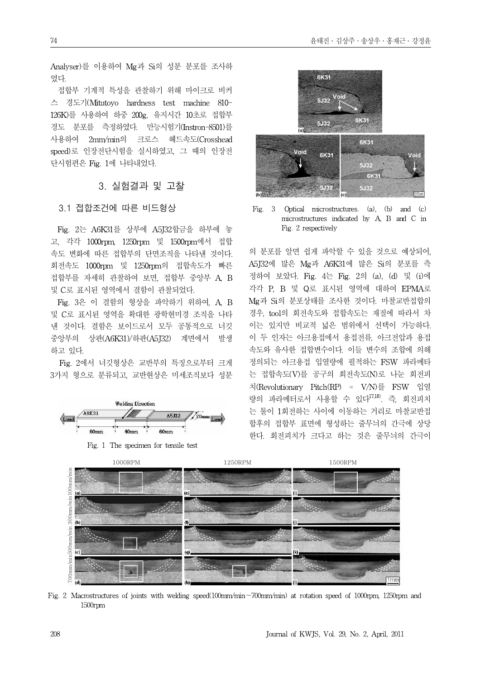Analyser)를 이용하여 Mg과 Si의 성분 분포를 조사하 였다.

접합부 기계적 특성을 관찰하기 위해 마이크로 비커 스 경도기(Mitutoyo hardness test machine 810- 126K)를 사용하여 하중 200g, 유지시간 10초로 접합부 경도 분포를 측정하였다. 만능시험기(Instron-8501)를 사용하여 2mm/min의 크로스 헤드속도(Crosshead speed)로 인장전단시험을 실시하였고, 그 때의 인장전 단시험편은 Fig. 1에 나타내었다.

#### 3. 실험결과 및 고찰

#### 3.1 접합조건에 따른 비드형상

Fig. 2는 A6K31를 상부에 A5J32합금을 하부에 놓 고, 각각 1000rpm, 1250rpm 및 1500rpm에서 접합 속도 변화에 따른 접합부의 단면조직을 나타낸 것이다. 회전속도 1000rpm 및 1250rpm의 접합속도가 빠른 접합부를 자세히 관찰하여 보면, 접합부 중앙부 A, B 및 C로 표시된 영역에서 결함이 관찰되었다.

Fig. 3은 이 결함의 형상을 파악하기 위하여, A, B 및 C로 표시된 영역을 확대한 광학현미경 조직을 나타 낸 것이다. 결함은 보이드로서 모두 공통적으로 너깃 중앙부의 상판(A6K31)/하판(A5J32) 계면에서 발생 하고 있다.

Fig. 2에서 너깃형상은 교반부의 특징으로부터 크게 3가지 형으로 분류되고, 교반현상은 미세조직보다 성분



Fig. 1 The specimen for tensile test



Fig. 3 Optical microstructures. (a), (b) and (c) microstructures indicated by A, B and C in Fig. 2 respectively

의 분포를 알면 쉽게 파악할 수 있을 것으로 예상되어, A5J32에 많은 Mg과 A6K31에 많은 Si의 분포를 측 정하여 보았다. Fig. 4는 Fig. 2의 (a), (d) 및 (i)에 각각 P, B 및 Q로 표시된 영역에 대하여 EPMA로 Mg과 Si의 분포상태를 조사한 것이다. 마찰교반접합의 경우, tool의 회전속도와 접합속도는 재질에 따라서 차 이는 있지만 비교적 넓은 범위에서 선택이 가능하다. 이 두 인자는 아크용접에서 용접전류, 아크전압과 용접 속도와 유사한 접합변수이다. 이들 변수의 조합에 의해 정의되는 아크용접 입열량에 필적하는 FSW 파라메타 는 접합속도(V)를 공구의 회전속도(N)로 나눈 회전피 치(Revolutionary Pitch(RP) = V/N)를 FSW 입열 량의 파라메터로서 사용할 수 있다17,18). 즉, 회전피치 는 툴이 1회전하는 사이에 이동하는 거리로 마찰교반접 합후의 접합부 표면에 형성하는 줄무늬의 간극에 상당 한다. 회전피치가 크다고 하는 것은 줄무늬의 간극이



Fig. 2 Macrostructures of joints with welding speed(100mm/min∼700mm/min) at rotation speed of 1000rpm, 1250rpm and 1500rpm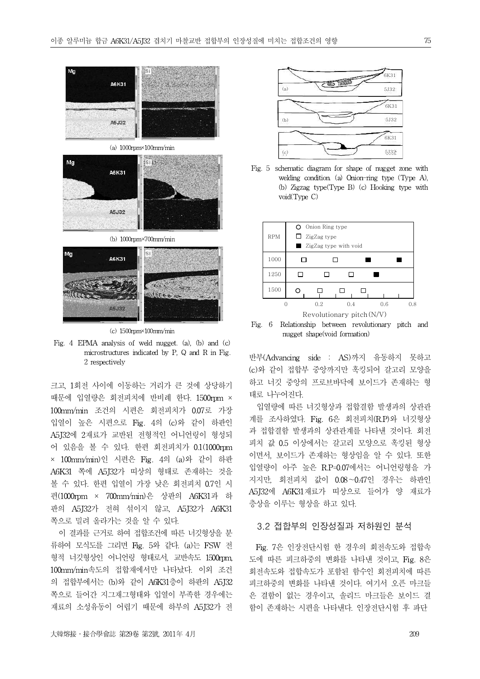



(b) 1000rpm×700mm/min



(c) 1500rpm×100mm/min

Fig. 4 EPMA analysis of weld nugget. (a), (b) and (c) microstructures indicated by P, Q and R in Fig. 2 respectively

크고, 1회전 사이에 이동하는 거리가 큰 것에 상당하기 때문에 입열량은 회전피치에 반비례 한다. 1500rpm × 100mm/min 조건의 시편은 회전피치가 0.07로 가장 입열이 높은 시편으로 Fig. 4의 (c)와 같이 하판인 A5J32에 2재료가 교반된 전형적인 어니언링이 형성되 어 있음을 볼 수 있다. 한편 회전피치가 0.1(1000rpm × 100mm/min)인 시편은 Fig. 4의 (a)와 같이 하판 A6K31 쪽에 A5J32가 띠상의 형태로 존재하는 것을 볼 수 있다. 한편 입열이 가장 낮은 회전피치 0.7인 시 편(1000rpm × 700mm/min)은 상판의 A6K31과 하 판의 A5J32가 전혀 섞이지 않고, A5J32가 A6K31 쪽으로 밀려 올라가는 것을 알 수 있다.

이 결과를 근거로 하여 접합조건에 따른 너깃형상을 분 류하여 모식도를 그리면 Fig. 5와 같다. (a)는 FSW 전 형적 너깃형상인 어니언링 형태로서, 교반속도 1500rpm, 100mm/min속도의 접합재에서만 나타났다. 이외 조건 의 접합부에서는 (b)와 같이 A6K31층이 하판의 A5J32 쪽으로 들어간 지그재그형태와 입열이 부족한 경우에는 재료의 소성유동이 어렵기 때문에 하부의 A5J32가 전



Fig. 5 schematic diagram for shape of nugget zone with welding condition. (a) Onion-ring type (Type A), (b) Zigzag type(Type B) (c) Hooking type with void(Type C)



Fig. 6 Relationship between revolutionary pitch and nugget shape(void formation)

반부(Advancing side : AS)까지 유동하지 못하고 (c)와 같이 접합부 중앙까지만 훅킹되어 갈고리 모양을 하고 너깃 중앙의 프로브바닥에 보이드가 존재하는 형 태로 나누어진다.

입열량에 따른 너깃형상과 접합결함 발생과의 상관관 계를 조사하였다. Fig. 6은 회전피치(R.P)와 너깃형상 과 접합결함 발생과의 상관관계를 나타낸 것이다. 회전 피치 값 0.5 이상에서는 갈고리 모양으로 훅킹된 형상 이면서, 보이드가 존재하는 형상임을 알 수 있다. 또한 입열량이 아주 높은 R.P=0.07에서는 어니언링형을 가 지지만, 회전피치 값이 0.08∼0.47인 경우는 하판인 A5J32에 A6K31재료가 띠상으로 들어가 양 재료가 층상을 이루는 형상을 하고 있다.

#### 3.2 접합부의 인장성질과 저하원인 분석

Fig. 7은 인장전단시험 한 경우의 회전속도와 접합속 도에 따른 피크하중의 변화를 나타낸 것이고, Fig. 8은 회전속도와 접합속도가 포함된 함수인 회전피치에 따른 피크하중의 변화를 나타낸 것이다. 여기서 오픈 마크들 은 결함이 없는 경우이고, 솔리드 마크들은 보이드 결 함이 존재하는 시편을 나타낸다. 인장전단시험 후 파단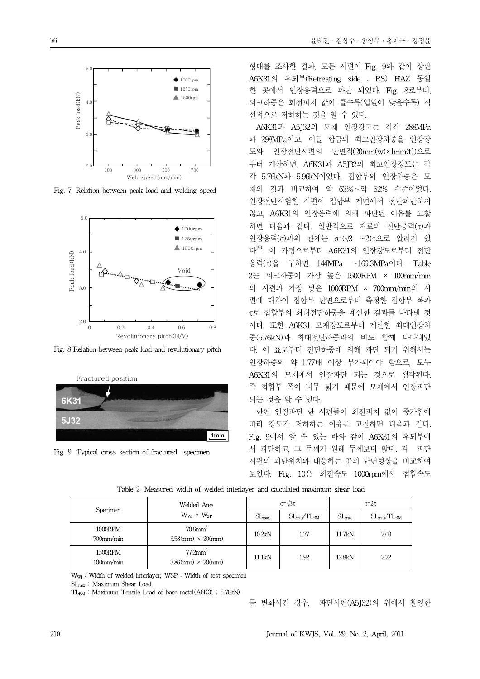

Fig. 7 Relation between peak load and welding speed



Fig. 8 Relation between peak load and revolutionary pitch



Fig. 9 Typical cross section of fractured specimen

형태를 조사한 결과, 모든 시편이 Fig. 9와 같이 상판 A6K31의 후퇴부(Retreating side : RS) HAZ 동일 한 곳에서 인장응력으로 파단 되었다. Fig. 8로부터, 피크하중은 회전피치 값이 클수록(입열이 낮을수록) 직 선적으로 저하하는 것을 알 수 있다.

A6K31과 A5J32의 모재 인장강도는 각각 288MPa 과 298MPa이고, 이들 합금의 최고인장하중을 인장강 도와 인장전단시편의 단면적(20mm(w)×1mm(t))으로 부터 계산하면, A6K31과 A5J32의 최고인장강도는 각 각 5.76kN과 5.96kN이었다. 접합부의 인장하중은 모 재의 것과 비교하여 약 63%∼약 52% 수준이었다. 인장전단시험한 시편이 접합부 계면에서 전단파단하지 않고, A6K31의 인장응력에 의해 파단된 이유를 고찰 하면 다음과 같다. 일반적으로 재료의 전단응력(τ)과 인장응력(σ)과의 관계는 σ=(√3 ∼2)τ으로 알려져 있 다<sup>19)</sup>. 이 가정으로부터 A6K31의 인장강도로부터 전단 응력(τ)을 구하면 144MPa ∼166.3MPa이다. Table 2는 피크하중이 가장 높은 1500RPM × 100mm/min 의 시편과 가장 낮은 1000RPM × 700mm/min의 시 편에 대하여 접합부 단면으로부터 측정한 접합부 폭과 τ로 접합부의 최대전단하중을 계산한 결과를 나타낸 것 이다. 또한 A6K31 모재강도로부터 계산한 최대인장하 중(5.76kN)과 최대전단하중과의 비도 함께 나타내었 다. 이 표로부터 전단하중에 의해 파단 되기 위해서는 인장하중의 약 1.77배 이상 부가되어야 함으로, 모두 A6K31의 모재에서 인장파단 되는 것으로 생각된다. 즉 접합부 폭이 너무 넓기 때문에 모재에서 인장파단 되는 것을 알 수 있다.

한편 인장파단 한 시편들이 회전피치 값이 증가함에 따라 강도가 저하하는 이유를 고찰하면 다음과 같다. Fig. 9에서 알 수 있는 바와 같이 A6K31의 후퇴부에 서 파단하고, 그 두께가 원래 두께보다 얇다. 각 파단 시편의 파단위치와 대응하는 곳의 단면형상을 비교하여 보았다. Fig. 10은 회전속도 1000rpm에서 접합속도

| Specimen                | Welded Area                                           |                   | $\sigma = \sqrt{3}\tau$    | $\sigma = 2\tau$  |                                  |  |
|-------------------------|-------------------------------------------------------|-------------------|----------------------------|-------------------|----------------------------------|--|
|                         | $W_{WI} \times W_{SP}$                                | $SL_{\text{max}}$ | $SL_{\rm max}/TL_{\rm BM}$ | $SL_{\text{max}}$ | $SL_{\text{max}}/TL_{\text{BM}}$ |  |
| 1000RPM<br>$700$ mm/min | $70.6$ mm $^2$<br>$3.53$ (mm) $\times$ 20(mm)         | 10.2kN            | 1.77                       | 11.7kN            | 2.03                             |  |
| 1500RPM<br>$100$ mm/min | $77.2$ mm <sup>2</sup><br>$3.86$ (mm) $\times$ 20(mm) | 11,1kN            | 1.92                       | 12.8kN            | 2.22                             |  |

Table 2 Measured width of welded interlayer and calculated maximum shear load

 $W_{WI}$  : Width of welded interlayer, WSP : Width of test specimen

SL<sub>max</sub>: Maximum Shear Load,

TL<sub>BM</sub>: Maximum Tensile Load of base metal(A6K31; 5.76kN)

를 변화시킨 경우, 파단시편(A5J32)의 위에서 촬영한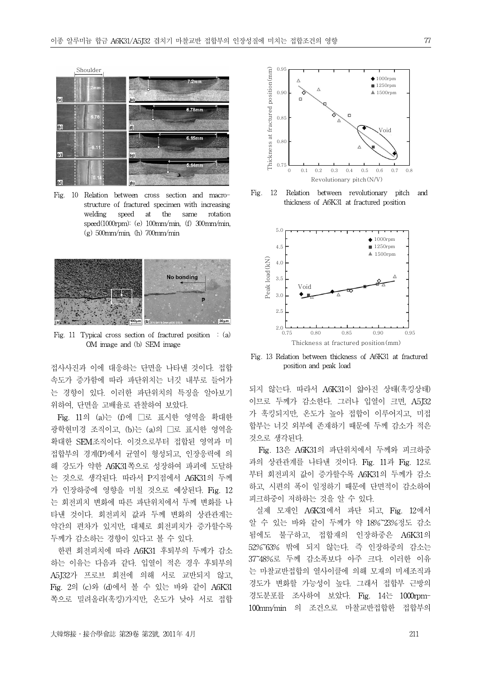

Fig. 10 Relation between cross section and macrostructure of fractured specimen with increasing welding speed at the same rotation speed(1000rpm): (e) 100mm/min, (f) 300mm/min, (g) 500mm/min, (h) 700mm/min

lídì



Fig. 11 Typical cross section of fractured position  $\cdot$  (a) OM image and (b) SEM image

접사사진과 이에 대응하는 단면을 나타낸 것이다 position and peak load . 접합 속도가 증가함에 따라 파단위치는 너깃 내부로 들어가 는 경향이 있다. 이러한 파단위치의 특징을 알아보기 위하여, 단면을 고배율로 관찰하여 보았다.

Fig. 11의 (a)는 (f)에 □로 표시한 영역을 확대한 광학현미경 조직이고, (b)는 (a)의 □로 표시한 영역을 확대한 SEM조직이다. 이것으로부터 접합된 영역과 미 접합부의 경계(P)에서 균열이 형성되고, 인장응력에 의 해 강도가 약한 A6K31쪽으로 성장하여 파괴에 도달하 는 것으로 생각된다. 따라서 P지점에서 A6K31의 두께 가 인장하중에 영향을 미칠 것으로 예상된다. Fig. 12 는 회전피치 변화에 따른 파단위치에서 두께 변화를 나 타낸 것이다. 회전피치 값과 두께 변화의 상관관계는 약간의 편차가 있지만, 대체로 회전피치가 증가할수록 두께가 감소하는 경향이 있다고 볼 수 있다.

한편 회전피치에 따라 A6K31 후퇴부의 두께가 감소 하는 이유는 다음과 같다. 입열이 적은 경우 후퇴부의 A5J32가 프로브 회전에 의해 서로 교반되지 않고, Fig. 2의 (c)와 (d)에서 볼 수 있는 바와 같이 A6K31 쪽으로 밀려올라(훅킹)가지만, 온도가 낮아 서로 접합



Fig. 12 Relation between revolutionary pitch and thickness of A6K31 at fractured position



Fig. 13 Relation between thickness of A6K31 at fractured

되지 않는다. 따라서 A6K31이 얇아진 상태(훅킹상태) 이므로 두께가 감소한다. 그러나 입열이 크면, A5J32 가 훅킹되지만, 온도가 높아 접합이 이루어지고, 미접 합부는 너깃 외부에 존재하기 때문에 두께 감소가 적은 것으로 생각된다.

Fig. 13은 A6K31의 파단위치에서 두께와 피크하중 과의 상관관계를 나타낸 것이다. Fig. 11과 Fig. 12로 부터 회전피치 값이 증가할수록 A6K31의 두께가 감소 하고, 시편의 폭이 일정하기 때문에 단면적이 감소하여 피크하중이 저하하는 것을 알 수 있다.

실제 모재인 A6K31에서 파단 되고, Fig. 12에서 알 수 있는 바와 같이 두께가 약 18%~23%정도 감소 됨에도 불구하고, 접합재의 인장하중은 A6K31의 52%~63% 밖에 되지 않는다. 즉 인장하중의 감소는 37~48%로 두께 감소폭보다 아주 크다. 이러한 이유 는 마찰교반접합의 열사이클에 의해 모재의 미세조직과 경도가 변화할 가능성이 높다. 그래서 접합부 근방의 경도분포를 조사하여 보았다. Fig. 14는 1000rpm-100mm/min 의 조건으로 마찰교반접합한 접합부의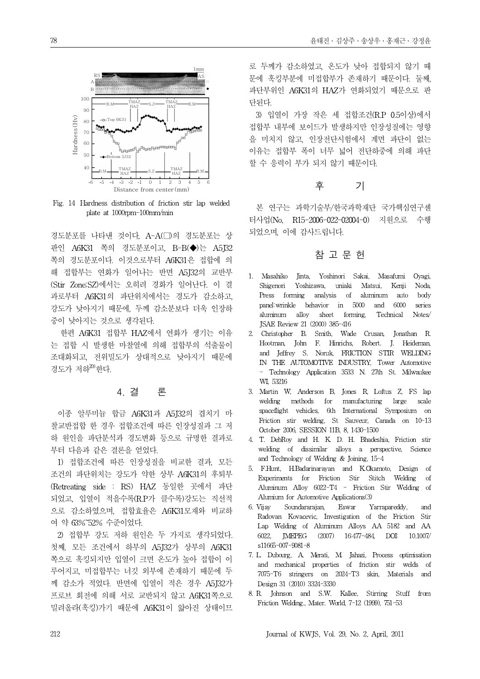

Fig. 14 Hardness distribution of friction stir lap welded plate at 1000rpm-100mm/min

경도분포를 나타낸 것이다, A-A(□)의 경도분포는 상 판인 A6K31 쪽의 경도분포이고, B-B(◆)는 A5J32 쪽의 경도분포이다. 이것으로부터 A6K31은 접합에 의 해 접합부는 연화가 일어나는 반면 A5J32의 교반부 (Stir Zone;SZ)에서는 오히려 경화가 일어난다. 이 결 과로부터 A6K31의 파단위치에서는 경도가 감소하고, 강도가 낮아지기 때문에, 두께 감소분보다 더욱 인장하 중이 낮아지는 것으로 생각된다.

한편 A6K31 접합부 HAZ에서 연화가 생기는 이유 는 접합 시 발생한 마찰열에 의해 접합부의 석출물이 조대화되고, 전위밀도가 상대적으로 낮아지기 때문에 경도가 저하<sup>20)</sup>한다.

#### 4. 결 론

이종 알루미늄 합금 A6K31과 A5J32의 겹치기 마 찰교반접합 한 경우 접합조건에 따른 인장성질과 그 저 하 원인을 파단분석과 경도변화 등으로 규명한 결과로 부터 다음과 같은 결론을 얻었다.

1) 접합조건에 따른 인장성질을 비교한 결과, 모든 조건의 파단위치는 강도가 약한 상부 A6K31의 후퇴부 (Retreating side : RS) HAZ 동일한 곳에서 파단 되었고, 입열이 적을수록(R.P가 클수록)강도는 직선적 으로 감소하였으며, 접합효율은 A6K31모재와 비교하 여 약 63%~52% 수준이었다.

2) 접합부 강도 저하 원인은 두 가지로 생각되었다. 첫째, 모든 조건에서 하부의 A5J32가 상부의 A6K31 쪽으로 훅킹되지만 입열이 크면 온도가 높아 접합이 이 루어지고, 미접합부는 너깃 외부에 존재하기 때문에 두 께 감소가 적었다. 반면에 입열이 적은 경우 A5J32가 프로브 회전에 의해 서로 교반되지 않고 A6K31쪽으로 밀려올라(훅킹)가기 때문에 A6K31이 얇아진 상태이므

로 두께가 감소하였고, 온도가 낮아 접합되지 않기 때 문에 훅킹부분에 미접합부가 존재하기 때문이다. 둘째, 파단부위인 A6K31의 HAZ가 연화되었기 때문으로 판 단된다.

3) 입열이 가장 작은 세 접합조건(R.P 0.5이상)에서 접합부 내부에 보이드가 발생하지만 인장성질에는 영향 을 미치지 않고, 인장전단시험에서 계면 파단이 없는 이유는 접합부 폭이 너무 넓어 전단하중에 의해 파단 할 수 응력이 부가 되지 않기 때문이다.

# 후 기

본 연구는 과학기술부/한국과학재단 국가핵심연구센 터사업(No, R15-2006-022-02004-0) 지원으로 수행 되었으며, 이에 감사드립니다.

### 참 고 문 헌

- 1. Masahiko Jinta, Yoshinori Sakai, Masafumi Oyagi, Yoshizawa, uniaki Matsui, Kenji Noda, Press forming analysis of aluminum auto body panel:wrinkle behavior in 5000 and 6000 series aluminum alloy sheet forming, Technical Notes/ JSAE Review 21 (2000) 385-416
- 2. Christopher B. Smith, Wade Crusan, Jonathan R. Hootman, John F. Hinrichs, Robert. J. Heideman, and Jeffrey S. Noruk, FRICTION STIR WELDING IN THE AUTOMOTIVE INDUSTRY, Tower Automotive - Technology Application 3533 N. 27th St. Milwaukee WI, 53216
- 3. Martin W, Anderson B, Jones R, Loftus Z, FS lap welding methods for manufacturing large scale spaceflight vehicles, 6th International Symposium on Friction stir welding, St Sauveur, Canada on 10-13 October 2006, SESSION 11B, 8, 1430-1500
- 4. T. DebRoy and H. K. D. H. Bhadeshia, Friction stir welding of dissimilar alloys a perspective, Science and Technology of Welding & Joining, 15-4
- 5. F.Hunt, H.Badarinarayan and K.Okamoto, Design of Experiments for Friction Stir Stitch Welding of Aluminum Alloy 6022-T4 - Friction Stir Welding of Alumium for Automotive Applications(3)
- Soundararajan, Eswar Yarrapareddy, and Radovan Kovacevic, Investigation of the Friction Stir Lap Welding of Aluminum Alloys AA 5182 and AA 6022, JMEPEG (2007) 16:477-484, DOI: 10.1007/ s11665-007-9081-8
- 7. L. Dubourg, A. Merati, M. Jahazi, Process optimisation and mechanical properties of friction stir welds of 7075-T6 stringers on 2024-T3 skin, Materials and Design 31 (2010) 3324-3330
- 8. R. Johnson and S.W. Kallee, Stirring Stuff from Friction Welding., Mater. World, 7-12 (1999), 751-53